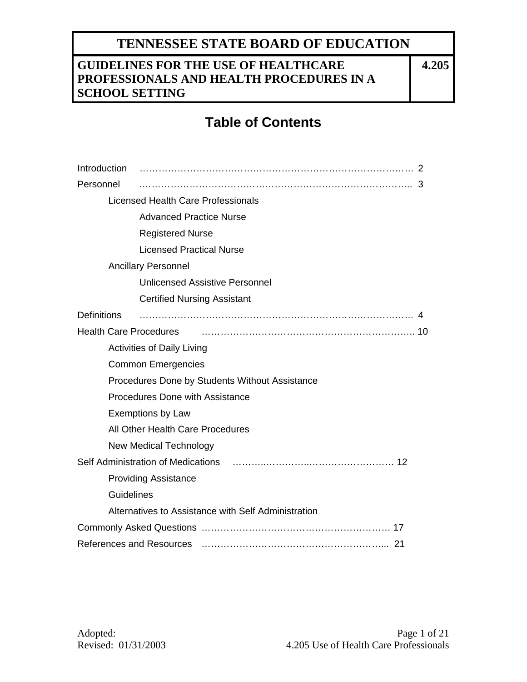## **GUIDELINES FOR THE USE OF HEALTHCARE PROFESSIONALS AND HEALTH PROCEDURES IN A SCHOOL SETTING**

**4.205**

# **Table of Contents**

| Introduction                                                                                                                                                                                                                   |                               |                                                     |  |  |  |
|--------------------------------------------------------------------------------------------------------------------------------------------------------------------------------------------------------------------------------|-------------------------------|-----------------------------------------------------|--|--|--|
| Personnel                                                                                                                                                                                                                      |                               |                                                     |  |  |  |
| Licensed Health Care Professionals                                                                                                                                                                                             |                               |                                                     |  |  |  |
|                                                                                                                                                                                                                                |                               | <b>Advanced Practice Nurse</b>                      |  |  |  |
|                                                                                                                                                                                                                                |                               | <b>Registered Nurse</b>                             |  |  |  |
|                                                                                                                                                                                                                                |                               | <b>Licensed Practical Nurse</b>                     |  |  |  |
|                                                                                                                                                                                                                                |                               | <b>Ancillary Personnel</b>                          |  |  |  |
|                                                                                                                                                                                                                                |                               | <b>Unlicensed Assistive Personnel</b>               |  |  |  |
|                                                                                                                                                                                                                                |                               | <b>Certified Nursing Assistant</b>                  |  |  |  |
| <b>Definitions</b>                                                                                                                                                                                                             |                               |                                                     |  |  |  |
| <b>Health Care Procedures</b>                                                                                                                                                                                                  |                               |                                                     |  |  |  |
| <b>Activities of Daily Living</b>                                                                                                                                                                                              |                               |                                                     |  |  |  |
|                                                                                                                                                                                                                                |                               | <b>Common Emergencies</b>                           |  |  |  |
|                                                                                                                                                                                                                                |                               | Procedures Done by Students Without Assistance      |  |  |  |
|                                                                                                                                                                                                                                |                               | Procedures Done with Assistance                     |  |  |  |
|                                                                                                                                                                                                                                |                               | <b>Exemptions by Law</b>                            |  |  |  |
|                                                                                                                                                                                                                                |                               | All Other Health Care Procedures                    |  |  |  |
|                                                                                                                                                                                                                                | <b>New Medical Technology</b> |                                                     |  |  |  |
| Self Administration of Medications (and the material control of the Self Administration of Medications (and the Medication of the Medication of Medication of Medication of Medication of Medication of Medication of Medicati |                               |                                                     |  |  |  |
|                                                                                                                                                                                                                                |                               | <b>Providing Assistance</b>                         |  |  |  |
|                                                                                                                                                                                                                                | Guidelines                    |                                                     |  |  |  |
|                                                                                                                                                                                                                                |                               | Alternatives to Assistance with Self Administration |  |  |  |
|                                                                                                                                                                                                                                |                               |                                                     |  |  |  |
| References and Resources (and according continuum contracts and Resources (and according contracts and according to                                                                                                            |                               |                                                     |  |  |  |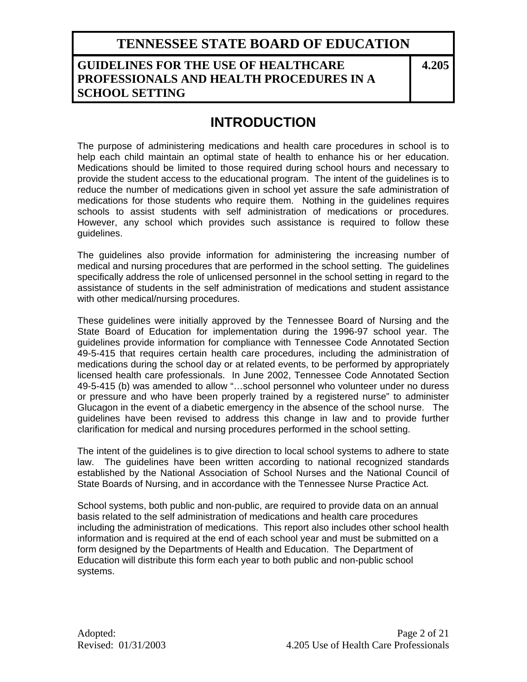### **GUIDELINES FOR THE USE OF HEALTHCARE PROFESSIONALS AND HEALTH PROCEDURES IN A SCHOOL SETTING**

**4.205**

# **INTRODUCTION**

The purpose of administering medications and health care procedures in school is to help each child maintain an optimal state of health to enhance his or her education. Medications should be limited to those required during school hours and necessary to provide the student access to the educational program. The intent of the guidelines is to reduce the number of medications given in school yet assure the safe administration of medications for those students who require them. Nothing in the guidelines requires schools to assist students with self administration of medications or procedures. However, any school which provides such assistance is required to follow these guidelines.

The guidelines also provide information for administering the increasing number of medical and nursing procedures that are performed in the school setting. The guidelines specifically address the role of unlicensed personnel in the school setting in regard to the assistance of students in the self administration of medications and student assistance with other medical/nursing procedures.

These guidelines were initially approved by the Tennessee Board of Nursing and the State Board of Education for implementation during the 1996-97 school year. The guidelines provide information for compliance with Tennessee Code Annotated Section 49-5-415 that requires certain health care procedures, including the administration of medications during the school day or at related events, to be performed by appropriately licensed health care professionals. In June 2002, Tennessee Code Annotated Section 49-5-415 (b) was amended to allow "…school personnel who volunteer under no duress or pressure and who have been properly trained by a registered nurse" to administer Glucagon in the event of a diabetic emergency in the absence of the school nurse. The guidelines have been revised to address this change in law and to provide further clarification for medical and nursing procedures performed in the school setting.

The intent of the guidelines is to give direction to local school systems to adhere to state law. The guidelines have been written according to national recognized standards established by the National Association of School Nurses and the National Council of State Boards of Nursing, and in accordance with the Tennessee Nurse Practice Act.

School systems, both public and non-public, are required to provide data on an annual basis related to the self administration of medications and health care procedures including the administration of medications. This report also includes other school health information and is required at the end of each school year and must be submitted on a form designed by the Departments of Health and Education. The Department of Education will distribute this form each year to both public and non-public school systems.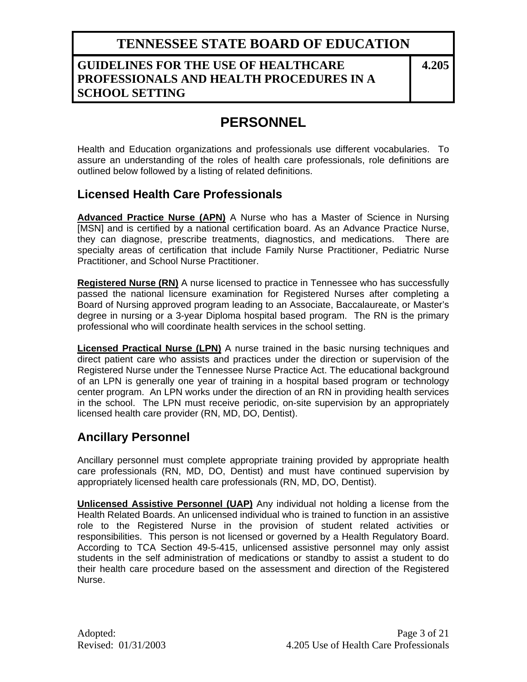### **GUIDELINES FOR THE USE OF HEALTHCARE PROFESSIONALS AND HEALTH PROCEDURES IN A SCHOOL SETTING**

**4.205**

# **PERSONNEL**

Health and Education organizations and professionals use different vocabularies. To assure an understanding of the roles of health care professionals, role definitions are outlined below followed by a listing of related definitions.

### **Licensed Health Care Professionals**

**Advanced Practice Nurse (APN)** A Nurse who has a Master of Science in Nursing [MSN] and is certified by a national certification board. As an Advance Practice Nurse, they can diagnose, prescribe treatments, diagnostics, and medications. There are specialty areas of certification that include Family Nurse Practitioner, Pediatric Nurse Practitioner, and School Nurse Practitioner.

**Registered Nurse (RN)** A nurse licensed to practice in Tennessee who has successfully passed the national licensure examination for Registered Nurses after completing a Board of Nursing approved program leading to an Associate, Baccalaureate, or Master's degree in nursing or a 3-year Diploma hospital based program. The RN is the primary professional who will coordinate health services in the school setting.

**Licensed Practical Nurse (LPN)** A nurse trained in the basic nursing techniques and direct patient care who assists and practices under the direction or supervision of the Registered Nurse under the Tennessee Nurse Practice Act. The educational background of an LPN is generally one year of training in a hospital based program or technology center program. An LPN works under the direction of an RN in providing health services in the school. The LPN must receive periodic, on-site supervision by an appropriately licensed health care provider (RN, MD, DO, Dentist).

### **Ancillary Personnel**

Ancillary personnel must complete appropriate training provided by appropriate health care professionals (RN, MD, DO, Dentist) and must have continued supervision by appropriately licensed health care professionals (RN, MD, DO, Dentist).

**Unlicensed Assistive Personnel (UAP)** Any individual not holding a license from the Health Related Boards. An unlicensed individual who is trained to function in an assistive role to the Registered Nurse in the provision of student related activities or responsibilities. This person is not licensed or governed by a Health Regulatory Board. According to TCA Section 49-5-415, unlicensed assistive personnel may only assist students in the self administration of medications or standby to assist a student to do their health care procedure based on the assessment and direction of the Registered Nurse.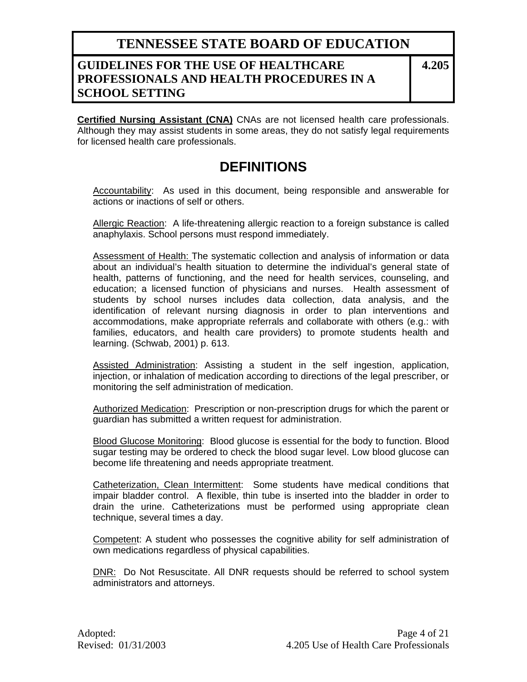### **GUIDELINES FOR THE USE OF HEALTHCARE PROFESSIONALS AND HEALTH PROCEDURES IN A SCHOOL SETTING**

**4.205**

**Certified Nursing Assistant (CNA)** CNAs are not licensed health care professionals. Although they may assist students in some areas, they do not satisfy legal requirements for licensed health care professionals.

# **DEFINITIONS**

Accountability: As used in this document, being responsible and answerable for actions or inactions of self or others.

Allergic Reaction: A life-threatening allergic reaction to a foreign substance is called anaphylaxis. School persons must respond immediately.

Assessment of Health: The systematic collection and analysis of information or data about an individual's health situation to determine the individual's general state of health, patterns of functioning, and the need for health services, counseling, and education; a licensed function of physicians and nurses. Health assessment of students by school nurses includes data collection, data analysis, and the identification of relevant nursing diagnosis in order to plan interventions and accommodations, make appropriate referrals and collaborate with others (e.g.: with families, educators, and health care providers) to promote students health and learning. (Schwab, 2001) p. 613.

Assisted Administration: Assisting a student in the self ingestion, application, injection, or inhalation of medication according to directions of the legal prescriber, or monitoring the self administration of medication.

Authorized Medication: Prescription or non-prescription drugs for which the parent or guardian has submitted a written request for administration.

Blood Glucose Monitoring: Blood glucose is essential for the body to function. Blood sugar testing may be ordered to check the blood sugar level. Low blood glucose can become life threatening and needs appropriate treatment.

Catheterization, Clean Intermittent: Some students have medical conditions that impair bladder control. A flexible, thin tube is inserted into the bladder in order to drain the urine. Catheterizations must be performed using appropriate clean technique, several times a day.

Competent: A student who possesses the cognitive ability for self administration of own medications regardless of physical capabilities.

DNR: Do Not Resuscitate. All DNR requests should be referred to school system administrators and attorneys.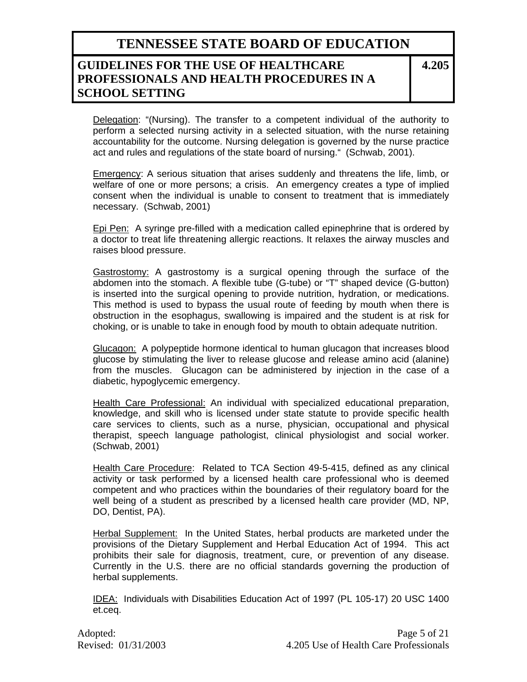### **GUIDELINES FOR THE USE OF HEALTHCARE PROFESSIONALS AND HEALTH PROCEDURES IN A SCHOOL SETTING**

**4.205**

Delegation: "(Nursing). The transfer to a competent individual of the authority to perform a selected nursing activity in a selected situation, with the nurse retaining accountability for the outcome. Nursing delegation is governed by the nurse practice act and rules and regulations of the state board of nursing." (Schwab, 2001).

Emergency: A serious situation that arises suddenly and threatens the life, limb, or welfare of one or more persons; a crisis. An emergency creates a type of implied consent when the individual is unable to consent to treatment that is immediately necessary. (Schwab, 2001)

Epi Pen: A syringe pre-filled with a medication called epinephrine that is ordered by a doctor to treat life threatening allergic reactions. It relaxes the airway muscles and raises blood pressure.

Gastrostomy: A gastrostomy is a surgical opening through the surface of the abdomen into the stomach. A flexible tube (G-tube) or "T" shaped device (G-button) is inserted into the surgical opening to provide nutrition, hydration, or medications. This method is used to bypass the usual route of feeding by mouth when there is obstruction in the esophagus, swallowing is impaired and the student is at risk for choking, or is unable to take in enough food by mouth to obtain adequate nutrition.

Glucagon: A polypeptide hormone identical to human glucagon that increases blood glucose by stimulating the liver to release glucose and release amino acid (alanine) from the muscles. Glucagon can be administered by injection in the case of a diabetic, hypoglycemic emergency.

Health Care Professional: An individual with specialized educational preparation, knowledge, and skill who is licensed under state statute to provide specific health care services to clients, such as a nurse, physician, occupational and physical therapist, speech language pathologist, clinical physiologist and social worker. (Schwab, 2001)

Health Care Procedure: Related to TCA Section 49-5-415, defined as any clinical activity or task performed by a licensed health care professional who is deemed competent and who practices within the boundaries of their regulatory board for the well being of a student as prescribed by a licensed health care provider (MD, NP, DO, Dentist, PA).

Herbal Supplement: In the United States, herbal products are marketed under the provisions of the Dietary Supplement and Herbal Education Act of 1994. This act prohibits their sale for diagnosis, treatment, cure, or prevention of any disease. Currently in the U.S. there are no official standards governing the production of herbal supplements.

IDEA: Individuals with Disabilities Education Act of 1997 (PL 105-17) 20 USC 1400 et.ceq.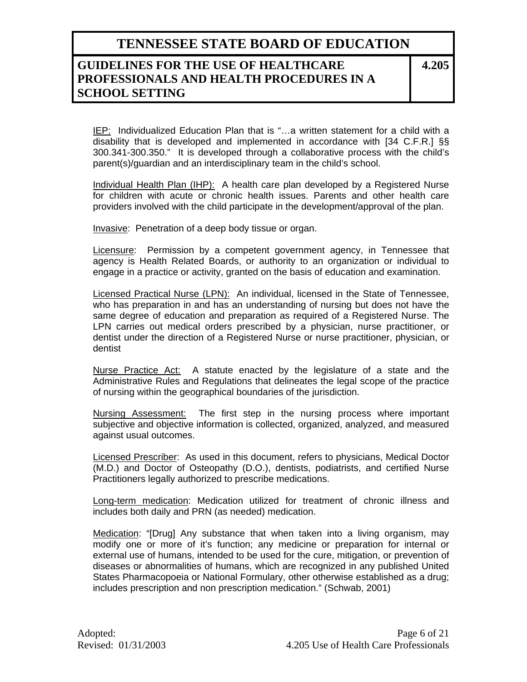### **GUIDELINES FOR THE USE OF HEALTHCARE PROFESSIONALS AND HEALTH PROCEDURES IN A SCHOOL SETTING**

**4.205**

IEP: Individualized Education Plan that is "...a written statement for a child with a disability that is developed and implemented in accordance with [34 C.F.R.] §§ 300.341-300.350." It is developed through a collaborative process with the child's parent(s)/guardian and an interdisciplinary team in the child's school.

Individual Health Plan (IHP): A health care plan developed by a Registered Nurse for children with acute or chronic health issues. Parents and other health care providers involved with the child participate in the development/approval of the plan.

Invasive: Penetration of a deep body tissue or organ.

Licensure: Permission by a competent government agency, in Tennessee that agency is Health Related Boards, or authority to an organization or individual to engage in a practice or activity, granted on the basis of education and examination.

Licensed Practical Nurse (LPN): An individual, licensed in the State of Tennessee, who has preparation in and has an understanding of nursing but does not have the same degree of education and preparation as required of a Registered Nurse. The LPN carries out medical orders prescribed by a physician, nurse practitioner, or dentist under the direction of a Registered Nurse or nurse practitioner, physician, or dentist

Nurse Practice Act: A statute enacted by the legislature of a state and the Administrative Rules and Regulations that delineates the legal scope of the practice of nursing within the geographical boundaries of the jurisdiction.

Nursing Assessment: The first step in the nursing process where important subjective and objective information is collected, organized, analyzed, and measured against usual outcomes.

Licensed Prescriber: As used in this document, refers to physicians, Medical Doctor (M.D.) and Doctor of Osteopathy (D.O.), dentists, podiatrists, and certified Nurse Practitioners legally authorized to prescribe medications.

Long-term medication: Medication utilized for treatment of chronic illness and includes both daily and PRN (as needed) medication.

Medication: "[Drug] Any substance that when taken into a living organism, may modify one or more of it's function; any medicine or preparation for internal or external use of humans, intended to be used for the cure, mitigation, or prevention of diseases or abnormalities of humans, which are recognized in any published United States Pharmacopoeia or National Formulary, other otherwise established as a drug; includes prescription and non prescription medication." (Schwab, 2001)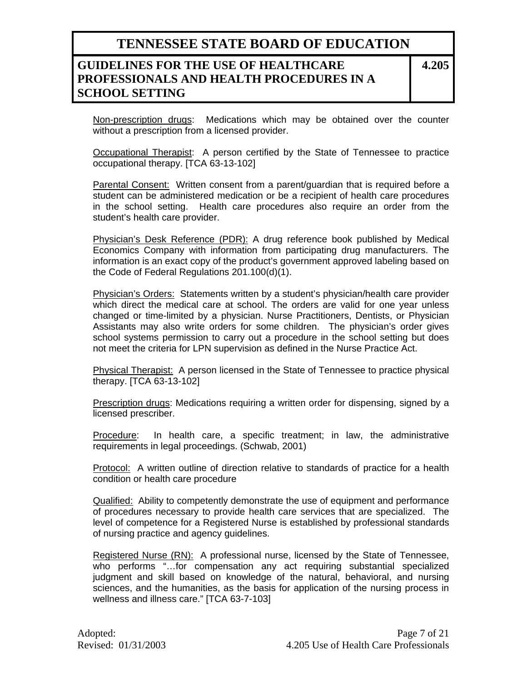### **GUIDELINES FOR THE USE OF HEALTHCARE PROFESSIONALS AND HEALTH PROCEDURES IN A SCHOOL SETTING**

**4.205**

Non-prescription drugs: Medications which may be obtained over the counter without a prescription from a licensed provider.

Occupational Therapist: A person certified by the State of Tennessee to practice occupational therapy. [TCA 63-13-102]

Parental Consent: Written consent from a parent/guardian that is required before a student can be administered medication or be a recipient of health care procedures in the school setting. Health care procedures also require an order from the student's health care provider.

Physician's Desk Reference (PDR): A drug reference book published by Medical Economics Company with information from participating drug manufacturers. The information is an exact copy of the product's government approved labeling based on the Code of Federal Regulations 201.100(d)(1).

Physician's Orders: Statements written by a student's physician/health care provider which direct the medical care at school. The orders are valid for one year unless changed or time-limited by a physician. Nurse Practitioners, Dentists, or Physician Assistants may also write orders for some children. The physician's order gives school systems permission to carry out a procedure in the school setting but does not meet the criteria for LPN supervision as defined in the Nurse Practice Act.

Physical Therapist: A person licensed in the State of Tennessee to practice physical therapy. [TCA 63-13-102]

Prescription drugs: Medications requiring a written order for dispensing, signed by a licensed prescriber.

Procedure: In health care, a specific treatment; in law, the administrative requirements in legal proceedings. (Schwab, 2001)

Protocol: A written outline of direction relative to standards of practice for a health condition or health care procedure

Qualified: Ability to competently demonstrate the use of equipment and performance of procedures necessary to provide health care services that are specialized. The level of competence for a Registered Nurse is established by professional standards of nursing practice and agency guidelines.

Registered Nurse (RN): A professional nurse, licensed by the State of Tennessee, who performs "…for compensation any act requiring substantial specialized judgment and skill based on knowledge of the natural, behavioral, and nursing sciences, and the humanities, as the basis for application of the nursing process in wellness and illness care." [TCA 63-7-103]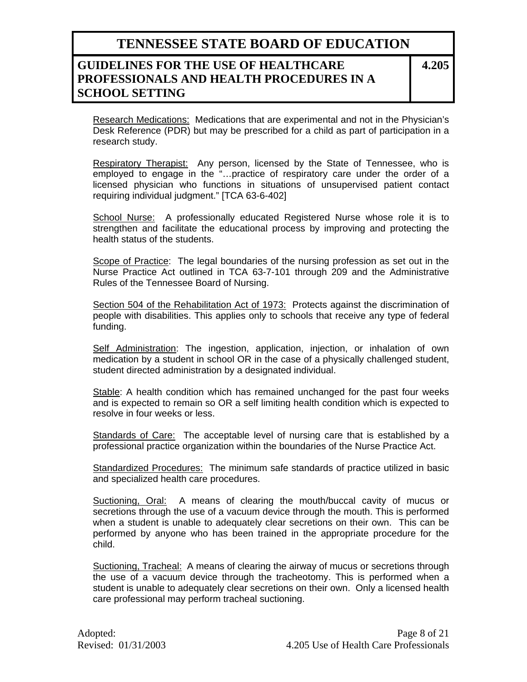### **GUIDELINES FOR THE USE OF HEALTHCARE PROFESSIONALS AND HEALTH PROCEDURES IN A SCHOOL SETTING**

**4.205**

Research Medications: Medications that are experimental and not in the Physician's Desk Reference (PDR) but may be prescribed for a child as part of participation in a research study.

Respiratory Therapist: Any person, licensed by the State of Tennessee, who is employed to engage in the "…practice of respiratory care under the order of a licensed physician who functions in situations of unsupervised patient contact requiring individual judgment." [TCA 63-6-402]

School Nurse: A professionally educated Registered Nurse whose role it is to strengthen and facilitate the educational process by improving and protecting the health status of the students.

Scope of Practice: The legal boundaries of the nursing profession as set out in the Nurse Practice Act outlined in TCA 63-7-101 through 209 and the Administrative Rules of the Tennessee Board of Nursing.

Section 504 of the Rehabilitation Act of 1973: Protects against the discrimination of people with disabilities. This applies only to schools that receive any type of federal funding.

Self Administration: The ingestion, application, injection, or inhalation of own medication by a student in school OR in the case of a physically challenged student, student directed administration by a designated individual.

Stable: A health condition which has remained unchanged for the past four weeks and is expected to remain so OR a self limiting health condition which is expected to resolve in four weeks or less.

Standards of Care: The acceptable level of nursing care that is established by a professional practice organization within the boundaries of the Nurse Practice Act.

Standardized Procedures: The minimum safe standards of practice utilized in basic and specialized health care procedures.

Suctioning, Oral: A means of clearing the mouth/buccal cavity of mucus or secretions through the use of a vacuum device through the mouth. This is performed when a student is unable to adequately clear secretions on their own. This can be performed by anyone who has been trained in the appropriate procedure for the child.

Suctioning, Tracheal: A means of clearing the airway of mucus or secretions through the use of a vacuum device through the tracheotomy. This is performed when a student is unable to adequately clear secretions on their own. Only a licensed health care professional may perform tracheal suctioning.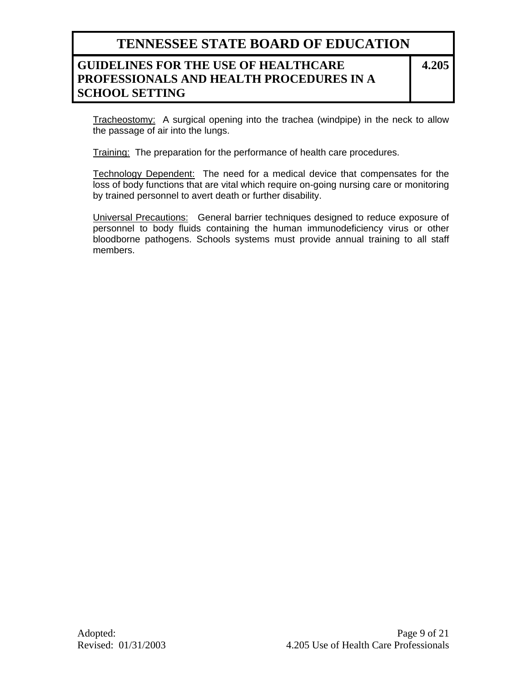### **GUIDELINES FOR THE USE OF HEALTHCARE PROFESSIONALS AND HEALTH PROCEDURES IN A SCHOOL SETTING**

**4.205**

Tracheostomy: A surgical opening into the trachea (windpipe) in the neck to allow the passage of air into the lungs.

Training: The preparation for the performance of health care procedures.

Technology Dependent: The need for a medical device that compensates for the loss of body functions that are vital which require on-going nursing care or monitoring by trained personnel to avert death or further disability.

Universal Precautions: General barrier techniques designed to reduce exposure of personnel to body fluids containing the human immunodeficiency virus or other bloodborne pathogens. Schools systems must provide annual training to all staff members.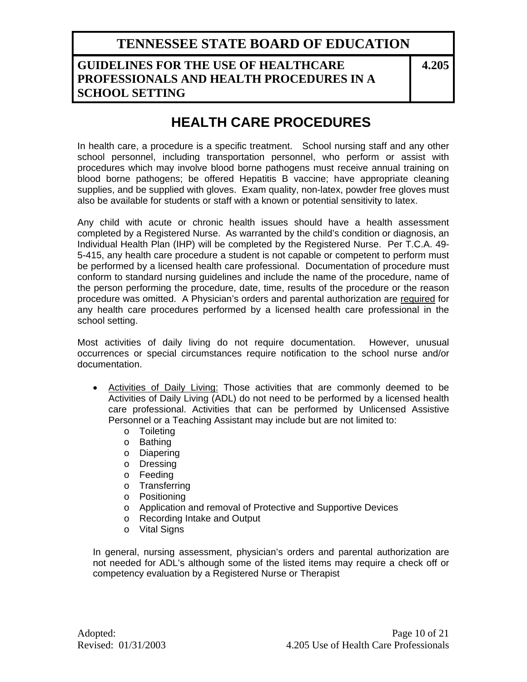### **GUIDELINES FOR THE USE OF HEALTHCARE PROFESSIONALS AND HEALTH PROCEDURES IN A SCHOOL SETTING**

**4.205**

# **HEALTH CARE PROCEDURES**

In health care, a procedure is a specific treatment. School nursing staff and any other school personnel, including transportation personnel, who perform or assist with procedures which may involve blood borne pathogens must receive annual training on blood borne pathogens; be offered Hepatitis B vaccine; have appropriate cleaning supplies, and be supplied with gloves. Exam quality, non-latex, powder free gloves must also be available for students or staff with a known or potential sensitivity to latex.

Any child with acute or chronic health issues should have a health assessment completed by a Registered Nurse. As warranted by the child's condition or diagnosis, an Individual Health Plan (IHP) will be completed by the Registered Nurse. Per T.C.A. 49- 5-415, any health care procedure a student is not capable or competent to perform must be performed by a licensed health care professional. Documentation of procedure must conform to standard nursing guidelines and include the name of the procedure, name of the person performing the procedure, date, time, results of the procedure or the reason procedure was omitted. A Physician's orders and parental authorization are required for any health care procedures performed by a licensed health care professional in the school setting.

Most activities of daily living do not require documentation. However, unusual occurrences or special circumstances require notification to the school nurse and/or documentation.

- Activities of Daily Living: Those activities that are commonly deemed to be Activities of Daily Living (ADL) do not need to be performed by a licensed health care professional. Activities that can be performed by Unlicensed Assistive Personnel or a Teaching Assistant may include but are not limited to:
	- o Toileting
	- o Bathing
	- o Diapering
	- o Dressing
	- o Feeding
	- o Transferring
	- o Positioning
	- o Application and removal of Protective and Supportive Devices
	- o Recording Intake and Output
	- o Vital Signs

In general, nursing assessment, physician's orders and parental authorization are not needed for ADL's although some of the listed items may require a check off or competency evaluation by a Registered Nurse or Therapist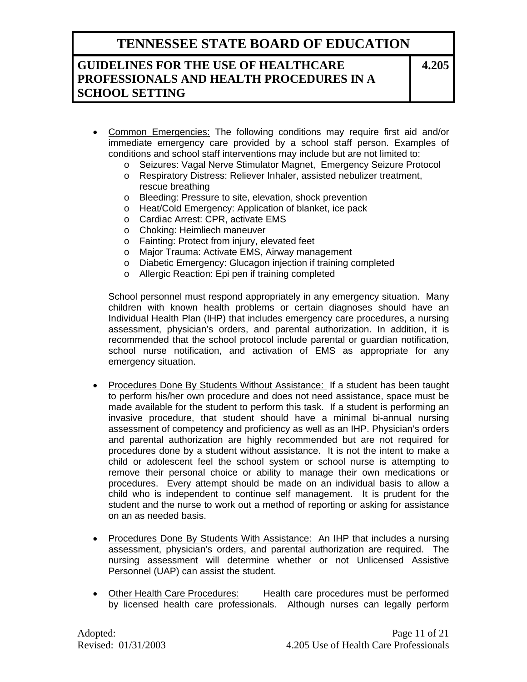### **GUIDELINES FOR THE USE OF HEALTHCARE PROFESSIONALS AND HEALTH PROCEDURES IN A SCHOOL SETTING**

**4.205**

- Common Emergencies: The following conditions may require first aid and/or immediate emergency care provided by a school staff person. Examples of conditions and school staff interventions may include but are not limited to:
	- o Seizures: Vagal Nerve Stimulator Magnet, Emergency Seizure Protocol
	- o Respiratory Distress: Reliever Inhaler, assisted nebulizer treatment, rescue breathing
	- o Bleeding: Pressure to site, elevation, shock prevention
	- o Heat/Cold Emergency: Application of blanket, ice pack
	- o Cardiac Arrest: CPR, activate EMS
	- o Choking: Heimliech maneuver
	- o Fainting: Protect from injury, elevated feet
	- o Major Trauma: Activate EMS, Airway management
	- o Diabetic Emergency: Glucagon injection if training completed
	- o Allergic Reaction: Epi pen if training completed

School personnel must respond appropriately in any emergency situation. Many children with known health problems or certain diagnoses should have an Individual Health Plan (IHP) that includes emergency care procedures, a nursing assessment, physician's orders, and parental authorization. In addition, it is recommended that the school protocol include parental or guardian notification, school nurse notification, and activation of EMS as appropriate for any emergency situation.

- Procedures Done By Students Without Assistance: If a student has been taught to perform his/her own procedure and does not need assistance, space must be made available for the student to perform this task. If a student is performing an invasive procedure, that student should have a minimal bi-annual nursing assessment of competency and proficiency as well as an IHP. Physician's orders and parental authorization are highly recommended but are not required for procedures done by a student without assistance. It is not the intent to make a child or adolescent feel the school system or school nurse is attempting to remove their personal choice or ability to manage their own medications or procedures. Every attempt should be made on an individual basis to allow a child who is independent to continue self management. It is prudent for the student and the nurse to work out a method of reporting or asking for assistance on an as needed basis.
- Procedures Done By Students With Assistance: An IHP that includes a nursing assessment, physician's orders, and parental authorization are required. The nursing assessment will determine whether or not Unlicensed Assistive Personnel (UAP) can assist the student.
- Other Health Care Procedures: Health care procedures must be performed by licensed health care professionals. Although nurses can legally perform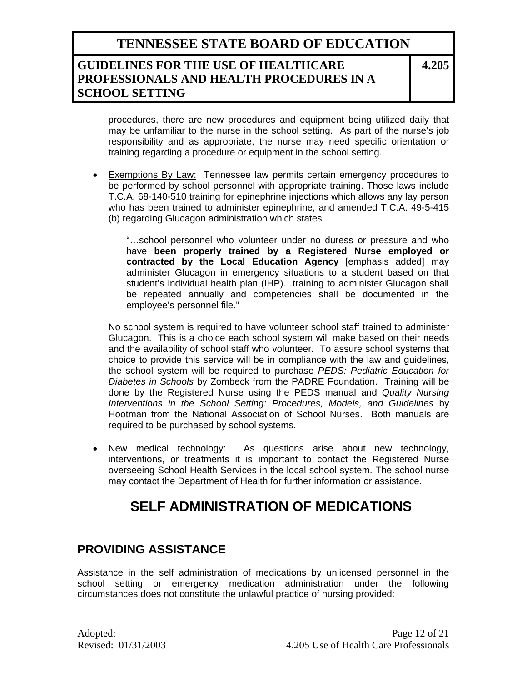### **GUIDELINES FOR THE USE OF HEALTHCARE PROFESSIONALS AND HEALTH PROCEDURES IN A SCHOOL SETTING**

**4.205**

procedures, there are new procedures and equipment being utilized daily that may be unfamiliar to the nurse in the school setting. As part of the nurse's job responsibility and as appropriate, the nurse may need specific orientation or training regarding a procedure or equipment in the school setting.

• Exemptions By Law: Tennessee law permits certain emergency procedures to be performed by school personnel with appropriate training. Those laws include T.C.A. 68-140-510 training for epinephrine injections which allows any lay person who has been trained to administer epinephrine, and amended T.C.A. 49-5-415 (b) regarding Glucagon administration which states

"…school personnel who volunteer under no duress or pressure and who have **been properly trained by a Registered Nurse employed or contracted by the Local Education Agency** [emphasis added] may administer Glucagon in emergency situations to a student based on that student's individual health plan (IHP)…training to administer Glucagon shall be repeated annually and competencies shall be documented in the employee's personnel file."

No school system is required to have volunteer school staff trained to administer Glucagon. This is a choice each school system will make based on their needs and the availability of school staff who volunteer. To assure school systems that choice to provide this service will be in compliance with the law and guidelines, the school system will be required to purchase *PEDS: Pediatric Education for Diabetes in Schools* by Zombeck from the PADRE Foundation. Training will be done by the Registered Nurse using the PEDS manual and *Quality Nursing Interventions in the School Setting: Procedures, Models, and Guidelines* by Hootman from the National Association of School Nurses. Both manuals are required to be purchased by school systems.

• New medical technology: As questions arise about new technology, interventions, or treatments it is important to contact the Registered Nurse overseeing School Health Services in the local school system. The school nurse may contact the Department of Health for further information or assistance.

# **SELF ADMINISTRATION OF MEDICATIONS**

### **PROVIDING ASSISTANCE**

Assistance in the self administration of medications by unlicensed personnel in the school setting or emergency medication administration under the following circumstances does not constitute the unlawful practice of nursing provided: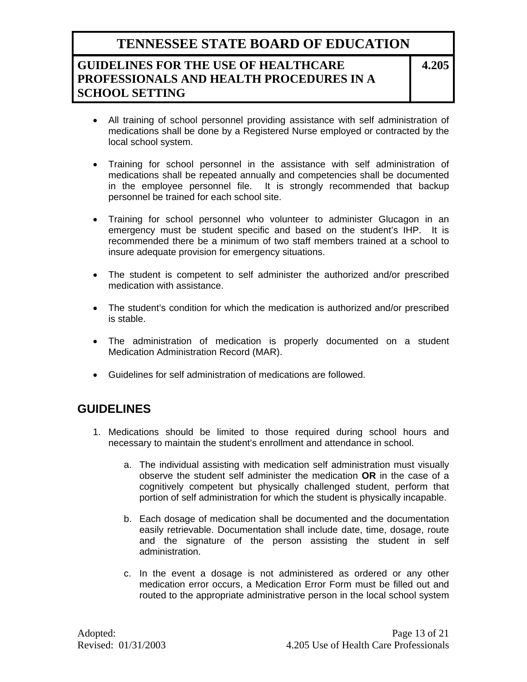## **GUIDELINES FOR THE USE OF HEALTHCARE PROFESSIONALS AND HEALTH PROCEDURES IN A SCHOOL SETTING**

**4.205**

- All training of school personnel providing assistance with self administration of medications shall be done by a Registered Nurse employed or contracted by the local school system.
- Training for school personnel in the assistance with self administration of medications shall be repeated annually and competencies shall be documented in the employee personnel file. It is strongly recommended that backup personnel be trained for each school site.
- Training for school personnel who volunteer to administer Glucagon in an emergency must be student specific and based on the student's IHP. It is recommended there be a minimum of two staff members trained at a school to insure adequate provision for emergency situations.
- The student is competent to self administer the authorized and/or prescribed medication with assistance.
- The student's condition for which the medication is authorized and/or prescribed is stable.
- The administration of medication is properly documented on a student Medication Administration Record (MAR).
- Guidelines for self administration of medications are followed.

## **GUIDELINES**

- 1. Medications should be limited to those required during school hours and necessary to maintain the student's enrollment and attendance in school.
	- a. The individual assisting with medication self administration must visually observe the student self administer the medication **OR** in the case of a cognitively competent but physically challenged student, perform that portion of self administration for which the student is physically incapable.
	- b. Each dosage of medication shall be documented and the documentation easily retrievable. Documentation shall include date, time, dosage, route and the signature of the person assisting the student in self administration.
	- c. In the event a dosage is not administered as ordered or any other medication error occurs, a Medication Error Form must be filled out and routed to the appropriate administrative person in the local school system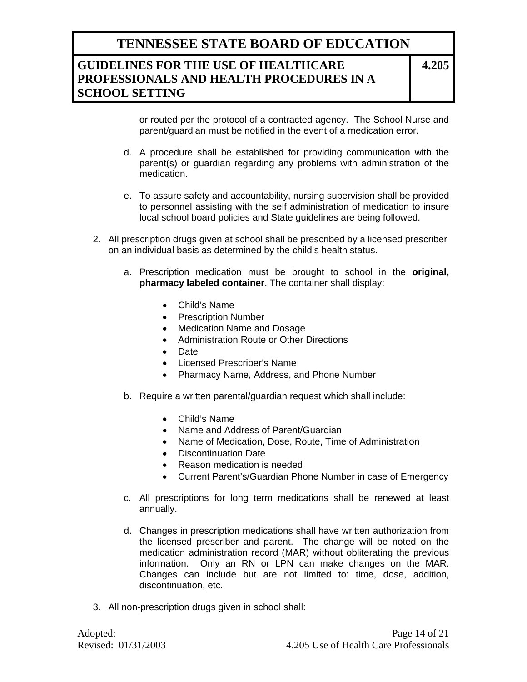## **GUIDELINES FOR THE USE OF HEALTHCARE PROFESSIONALS AND HEALTH PROCEDURES IN A SCHOOL SETTING**

**4.205**

or routed per the protocol of a contracted agency. The School Nurse and parent/guardian must be notified in the event of a medication error.

- d. A procedure shall be established for providing communication with the parent(s) or guardian regarding any problems with administration of the medication.
- e. To assure safety and accountability, nursing supervision shall be provided to personnel assisting with the self administration of medication to insure local school board policies and State guidelines are being followed.
- 2. All prescription drugs given at school shall be prescribed by a licensed prescriber on an individual basis as determined by the child's health status.
	- a. Prescription medication must be brought to school in the **original, pharmacy labeled container**. The container shall display:
		- Child's Name
		- Prescription Number
		- Medication Name and Dosage
		- Administration Route or Other Directions
		- Date
		- Licensed Prescriber's Name
		- Pharmacy Name, Address, and Phone Number
	- b. Require a written parental/guardian request which shall include:
		- Child's Name
		- Name and Address of Parent/Guardian
		- Name of Medication, Dose, Route, Time of Administration
		- Discontinuation Date
		- Reason medication is needed
		- Current Parent's/Guardian Phone Number in case of Emergency
	- c. All prescriptions for long term medications shall be renewed at least annually.
	- d. Changes in prescription medications shall have written authorization from the licensed prescriber and parent. The change will be noted on the medication administration record (MAR) without obliterating the previous information. Only an RN or LPN can make changes on the MAR. Changes can include but are not limited to: time, dose, addition, discontinuation, etc.
- 3. All non-prescription drugs given in school shall: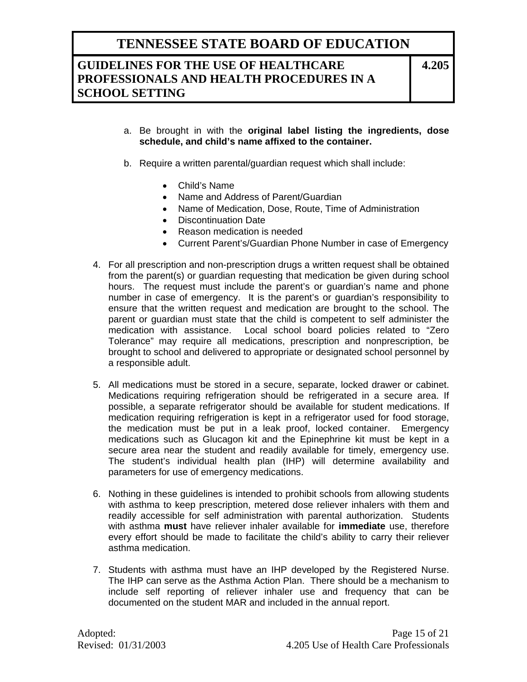### **GUIDELINES FOR THE USE OF HEALTHCARE PROFESSIONALS AND HEALTH PROCEDURES IN A SCHOOL SETTING**

**4.205**

- a. Be brought in with the **original label listing the ingredients, dose schedule, and child's name affixed to the container.**
- b. Require a written parental/guardian request which shall include:
	- Child's Name
	- Name and Address of Parent/Guardian
	- Name of Medication, Dose, Route, Time of Administration
	- Discontinuation Date
	- Reason medication is needed
	- Current Parent's/Guardian Phone Number in case of Emergency
- 4. For all prescription and non-prescription drugs a written request shall be obtained from the parent(s) or guardian requesting that medication be given during school hours. The request must include the parent's or guardian's name and phone number in case of emergency. It is the parent's or guardian's responsibility to ensure that the written request and medication are brought to the school. The parent or guardian must state that the child is competent to self administer the medication with assistance. Local school board policies related to "Zero Tolerance" may require all medications, prescription and nonprescription, be brought to school and delivered to appropriate or designated school personnel by a responsible adult.
- 5. All medications must be stored in a secure, separate, locked drawer or cabinet. Medications requiring refrigeration should be refrigerated in a secure area. If possible, a separate refrigerator should be available for student medications. If medication requiring refrigeration is kept in a refrigerator used for food storage, the medication must be put in a leak proof, locked container. Emergency medications such as Glucagon kit and the Epinephrine kit must be kept in a secure area near the student and readily available for timely, emergency use. The student's individual health plan (IHP) will determine availability and parameters for use of emergency medications.
- 6. Nothing in these guidelines is intended to prohibit schools from allowing students with asthma to keep prescription, metered dose reliever inhalers with them and readily accessible for self administration with parental authorization. Students with asthma **must** have reliever inhaler available for **immediate** use, therefore every effort should be made to facilitate the child's ability to carry their reliever asthma medication.
- 7. Students with asthma must have an IHP developed by the Registered Nurse. The IHP can serve as the Asthma Action Plan. There should be a mechanism to include self reporting of reliever inhaler use and frequency that can be documented on the student MAR and included in the annual report.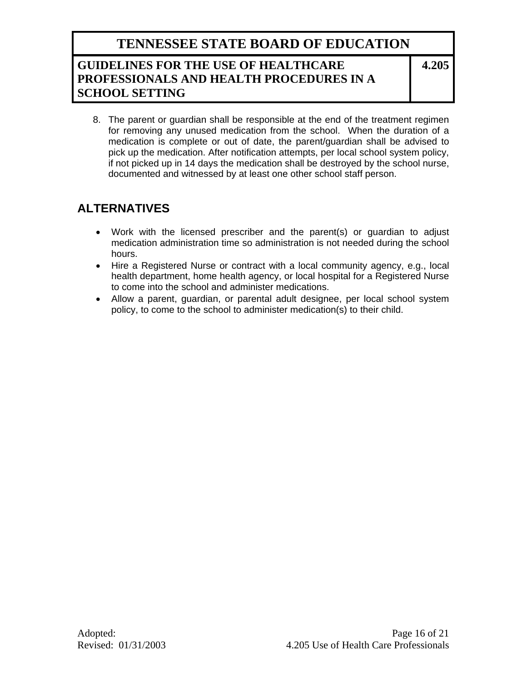### **GUIDELINES FOR THE USE OF HEALTHCARE PROFESSIONALS AND HEALTH PROCEDURES IN A SCHOOL SETTING**

**4.205**

8. The parent or guardian shall be responsible at the end of the treatment regimen for removing any unused medication from the school. When the duration of a medication is complete or out of date, the parent/guardian shall be advised to pick up the medication. After notification attempts, per local school system policy, if not picked up in 14 days the medication shall be destroyed by the school nurse, documented and witnessed by at least one other school staff person.

## **ALTERNATIVES**

- Work with the licensed prescriber and the parent(s) or guardian to adjust medication administration time so administration is not needed during the school hours.
- Hire a Registered Nurse or contract with a local community agency, e.g., local health department, home health agency, or local hospital for a Registered Nurse to come into the school and administer medications.
- Allow a parent, guardian, or parental adult designee, per local school system policy, to come to the school to administer medication(s) to their child.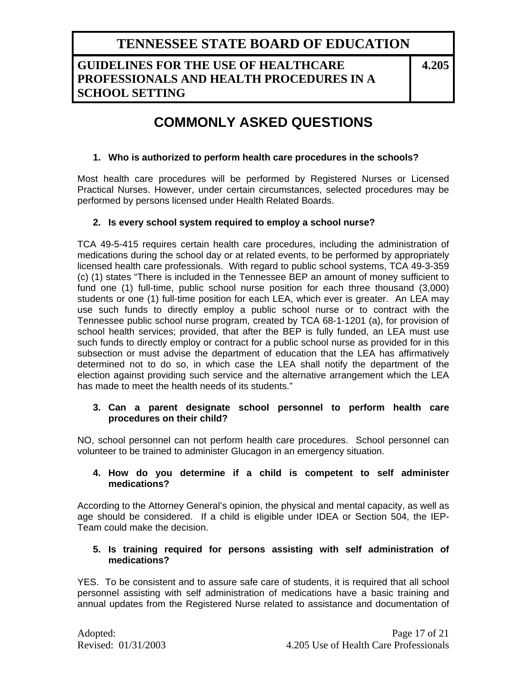### **GUIDELINES FOR THE USE OF HEALTHCARE PROFESSIONALS AND HEALTH PROCEDURES IN A SCHOOL SETTING**

**4.205**

# **COMMONLY ASKED QUESTIONS**

#### **1. Who is authorized to perform health care procedures in the schools?**

Most health care procedures will be performed by Registered Nurses or Licensed Practical Nurses. However, under certain circumstances, selected procedures may be performed by persons licensed under Health Related Boards.

#### **2. Is every school system required to employ a school nurse?**

TCA 49-5-415 requires certain health care procedures, including the administration of medications during the school day or at related events, to be performed by appropriately licensed health care professionals. With regard to public school systems, TCA 49-3-359 (c) (1) states "There is included in the Tennessee BEP an amount of money sufficient to fund one (1) full-time, public school nurse position for each three thousand (3,000) students or one (1) full-time position for each LEA, which ever is greater. An LEA may use such funds to directly employ a public school nurse or to contract with the Tennessee public school nurse program, created by TCA 68-1-1201 (a), for provision of school health services; provided, that after the BEP is fully funded, an LEA must use such funds to directly employ or contract for a public school nurse as provided for in this subsection or must advise the department of education that the LEA has affirmatively determined not to do so, in which case the LEA shall notify the department of the election against providing such service and the alternative arrangement which the LEA has made to meet the health needs of its students."

#### **3. Can a parent designate school personnel to perform health care procedures on their child?**

NO, school personnel can not perform health care procedures. School personnel can volunteer to be trained to administer Glucagon in an emergency situation.

#### **4. How do you determine if a child is competent to self administer medications?**

According to the Attorney General's opinion, the physical and mental capacity, as well as age should be considered. If a child is eligible under IDEA or Section 504, the IEP-Team could make the decision.

#### **5. Is training required for persons assisting with self administration of medications?**

YES. To be consistent and to assure safe care of students, it is required that all school personnel assisting with self administration of medications have a basic training and annual updates from the Registered Nurse related to assistance and documentation of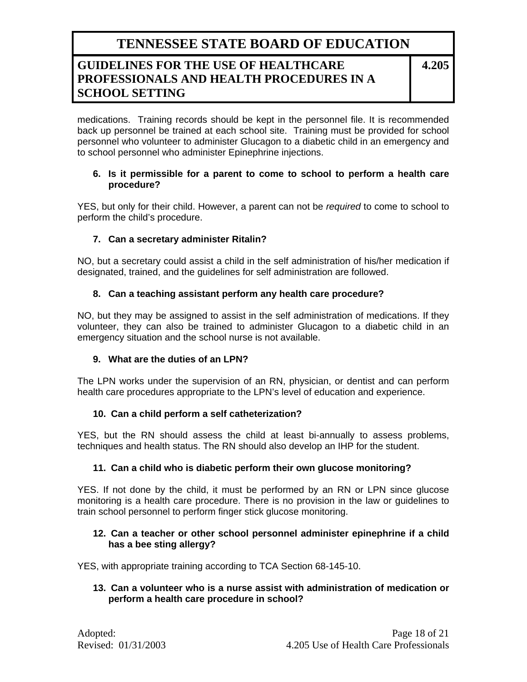### **GUIDELINES FOR THE USE OF HEALTHCARE PROFESSIONALS AND HEALTH PROCEDURES IN A SCHOOL SETTING**

**4.205**

medications. Training records should be kept in the personnel file. It is recommended back up personnel be trained at each school site. Training must be provided for school personnel who volunteer to administer Glucagon to a diabetic child in an emergency and to school personnel who administer Epinephrine injections.

#### **6. Is it permissible for a parent to come to school to perform a health care procedure?**

YES, but only for their child. However, a parent can not be *required* to come to school to perform the child's procedure.

#### **7. Can a secretary administer Ritalin?**

NO, but a secretary could assist a child in the self administration of his/her medication if designated, trained, and the guidelines for self administration are followed.

#### **8. Can a teaching assistant perform any health care procedure?**

NO, but they may be assigned to assist in the self administration of medications. If they volunteer, they can also be trained to administer Glucagon to a diabetic child in an emergency situation and the school nurse is not available.

#### **9. What are the duties of an LPN?**

The LPN works under the supervision of an RN, physician, or dentist and can perform health care procedures appropriate to the LPN's level of education and experience.

#### **10. Can a child perform a self catheterization?**

YES, but the RN should assess the child at least bi-annually to assess problems, techniques and health status. The RN should also develop an IHP for the student.

#### **11. Can a child who is diabetic perform their own glucose monitoring?**

YES. If not done by the child, it must be performed by an RN or LPN since glucose monitoring is a health care procedure. There is no provision in the law or guidelines to train school personnel to perform finger stick glucose monitoring.

#### **12. Can a teacher or other school personnel administer epinephrine if a child has a bee sting allergy?**

YES, with appropriate training according to TCA Section 68-145-10.

#### **13. Can a volunteer who is a nurse assist with administration of medication or perform a health care procedure in school?**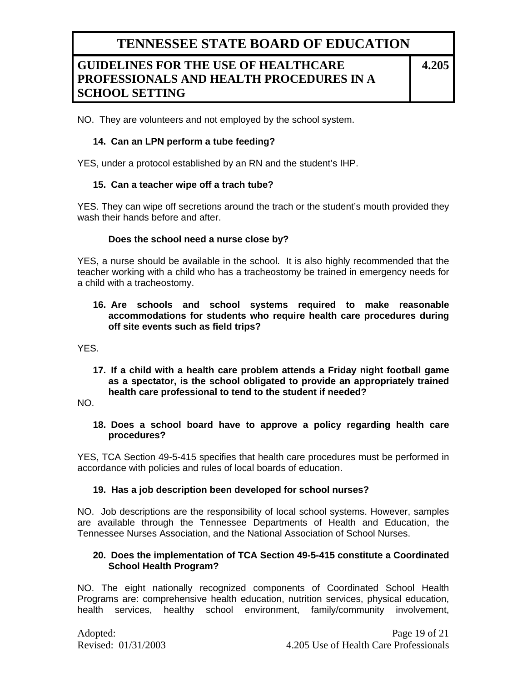### **GUIDELINES FOR THE USE OF HEALTHCARE PROFESSIONALS AND HEALTH PROCEDURES IN A SCHOOL SETTING**

**4.205**

NO. They are volunteers and not employed by the school system.

#### **14. Can an LPN perform a tube feeding?**

YES, under a protocol established by an RN and the student's IHP.

#### **15. Can a teacher wipe off a trach tube?**

YES. They can wipe off secretions around the trach or the student's mouth provided they wash their hands before and after.

#### **Does the school need a nurse close by?**

YES, a nurse should be available in the school. It is also highly recommended that the teacher working with a child who has a tracheostomy be trained in emergency needs for a child with a tracheostomy.

**16. Are schools and school systems required to make reasonable accommodations for students who require health care procedures during off site events such as field trips?** 

YES.

**17. If a child with a health care problem attends a Friday night football game as a spectator, is the school obligated to provide an appropriately trained health care professional to tend to the student if needed?** 

NO.

#### **18. Does a school board have to approve a policy regarding health care procedures?**

YES, TCA Section 49-5-415 specifies that health care procedures must be performed in accordance with policies and rules of local boards of education.

#### **19. Has a job description been developed for school nurses?**

NO. Job descriptions are the responsibility of local school systems. However, samples are available through the Tennessee Departments of Health and Education, the Tennessee Nurses Association, and the National Association of School Nurses.

#### **20. Does the implementation of TCA Section 49-5-415 constitute a Coordinated School Health Program?**

NO. The eight nationally recognized components of Coordinated School Health Programs are: comprehensive health education, nutrition services, physical education, health services, healthy school environment, family/community involvement,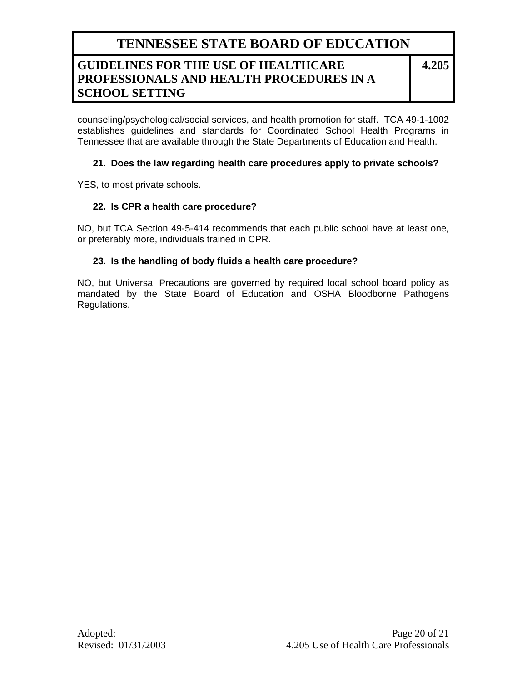## **GUIDELINES FOR THE USE OF HEALTHCARE PROFESSIONALS AND HEALTH PROCEDURES IN A SCHOOL SETTING**

**4.205**

counseling/psychological/social services, and health promotion for staff. TCA 49-1-1002 establishes guidelines and standards for Coordinated School Health Programs in Tennessee that are available through the State Departments of Education and Health.

#### **21. Does the law regarding health care procedures apply to private schools?**

YES, to most private schools.

#### **22. Is CPR a health care procedure?**

NO, but TCA Section 49-5-414 recommends that each public school have at least one, or preferably more, individuals trained in CPR.

#### **23. Is the handling of body fluids a health care procedure?**

NO, but Universal Precautions are governed by required local school board policy as mandated by the State Board of Education and OSHA Bloodborne Pathogens Regulations.